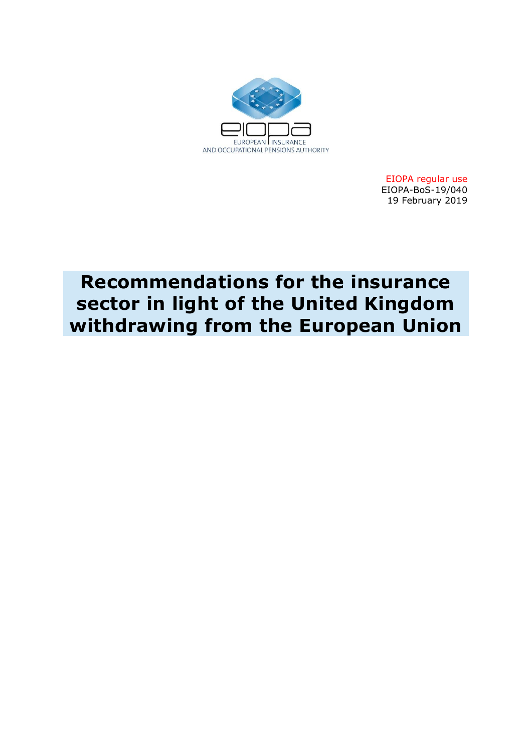

EIOPA regular use EIOPA-BoS-19/040 19 February 2019

# **Recommendations for the insurance sector in light of the United Kingdom withdrawing from the European Union**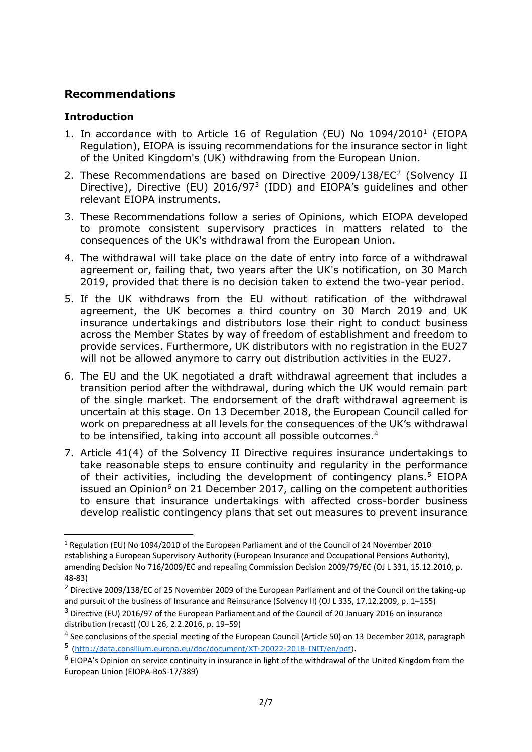# **Recommendations**

## **Introduction**

**.** 

- 1. In accordance with to Article 16 of Regulation (EU) No 1094/2010<sup>1</sup> (EIOPA Regulation), EIOPA is issuing recommendations for the insurance sector in light of the United Kingdom's (UK) withdrawing from the European Union.
- 2. These Recommendations are based on Directive 2009/138/EC<sup>2</sup> (Solvency II Directive), Directive (EU) 2016/97<sup>3</sup> (IDD) and EIOPA's guidelines and other relevant EIOPA instruments.
- 3. These Recommendations follow a series of Opinions, which EIOPA developed to promote consistent supervisory practices in matters related to the consequences of the UK's withdrawal from the European Union.
- 4. The withdrawal will take place on the date of entry into force of a withdrawal agreement or, failing that, two years after the UK's notification, on 30 March 2019, provided that there is no decision taken to extend the two-year period.
- 5. If the UK withdraws from the EU without ratification of the withdrawal agreement, the UK becomes a third country on 30 March 2019 and UK insurance undertakings and distributors lose their right to conduct business across the Member States by way of freedom of establishment and freedom to provide services. Furthermore, UK distributors with no registration in the EU27 will not be allowed anymore to carry out distribution activities in the EU27.
- 6. The EU and the UK negotiated a draft withdrawal agreement that includes a transition period after the withdrawal, during which the UK would remain part of the single market. The endorsement of the draft withdrawal agreement is uncertain at this stage. On 13 December 2018, the European Council called for work on preparedness at all levels for the consequences of the UK's withdrawal to be intensified, taking into account all possible outcomes.<sup>4</sup>
- 7. Article 41(4) of the Solvency II Directive requires insurance undertakings to take reasonable steps to ensure continuity and regularity in the performance of their activities, including the development of contingency plans.<sup>5</sup> EIOPA issued an Opinion<sup>6</sup> on 21 December 2017, calling on the competent authorities to ensure that insurance undertakings with affected cross-border business develop realistic contingency plans that set out measures to prevent insurance

<sup>1</sup> Regulation (EU) No 1094/2010 of the European Parliament and of the Council of 24 November 2010 establishing a European Supervisory Authority (European Insurance and Occupational Pensions Authority), amending Decision No 716/2009/EC and repealing Commission Decision 2009/79/EC (OJ L 331, 15.12.2010, p. 48-83)

<sup>2</sup> Directive 2009/138/EC of 25 November 2009 of the European Parliament and of the Council on the taking-up and pursuit of the business of Insurance and Reinsurance (Solvency II) (OJ L 335, 17.12.2009, p. 1–155)

 $3$  Directive (EU) 2016/97 of the European Parliament and of the Council of 20 January 2016 on insurance distribution (recast) (OJ L 26, 2.2.2016, p. 19–59)

<sup>&</sup>lt;sup>4</sup> See conclusions of the special meeting of the European Council (Article 50) on 13 December 2018, paragraph 5 [\(http://data.consilium.europa.eu/doc/document/XT-20022-2018-INIT/en/pdf\)](http://data.consilium.europa.eu/doc/document/XT-20022-2018-INIT/en/pdf).

<sup>&</sup>lt;sup>6</sup> EIOPA's Opinion on service continuity in insurance in light of the withdrawal of the United Kingdom from the European Union (EIOPA-BoS-17/389)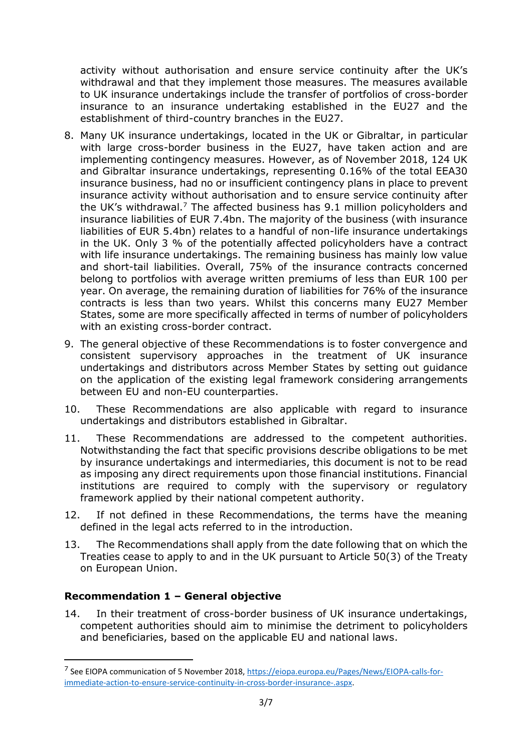activity without authorisation and ensure service continuity after the UK's withdrawal and that they implement those measures. The measures available to UK insurance undertakings include the transfer of portfolios of cross-border insurance to an insurance undertaking established in the EU27 and the establishment of third-country branches in the EU27.

- 8. Many UK insurance undertakings, located in the UK or Gibraltar, in particular with large cross-border business in the EU27, have taken action and are implementing contingency measures. However, as of November 2018, 124 UK and Gibraltar insurance undertakings, representing 0.16% of the total EEA30 insurance business, had no or insufficient contingency plans in place to prevent insurance activity without authorisation and to ensure service continuity after the UK's withdrawal.<sup>7</sup> The affected business has  $9.1$  million policyholders and insurance liabilities of EUR 7.4bn. The majority of the business (with insurance liabilities of EUR 5.4bn) relates to a handful of non-life insurance undertakings in the UK. Only 3 % of the potentially affected policyholders have a contract with life insurance undertakings. The remaining business has mainly low value and short-tail liabilities. Overall, 75% of the insurance contracts concerned belong to portfolios with average written premiums of less than EUR 100 per year. On average, the remaining duration of liabilities for 76% of the insurance contracts is less than two years. Whilst this concerns many EU27 Member States, some are more specifically affected in terms of number of policyholders with an existing cross-border contract.
- 9. The general objective of these Recommendations is to foster convergence and consistent supervisory approaches in the treatment of UK insurance undertakings and distributors across Member States by setting out guidance on the application of the existing legal framework considering arrangements between EU and non-EU counterparties.
- 10. These Recommendations are also applicable with regard to insurance undertakings and distributors established in Gibraltar.
- 11. These Recommendations are addressed to the competent authorities. Notwithstanding the fact that specific provisions describe obligations to be met by insurance undertakings and intermediaries, this document is not to be read as imposing any direct requirements upon those financial institutions. Financial institutions are required to comply with the supervisory or regulatory framework applied by their national competent authority.
- 12. If not defined in these Recommendations, the terms have the meaning defined in the legal acts referred to in the introduction.
- 13. The Recommendations shall apply from the date following that on which the Treaties cease to apply to and in the UK pursuant to Article 50(3) of the Treaty on European Union.

## **Recommendation 1 – General objective**

**.** 

14. In their treatment of cross-border business of UK insurance undertakings, competent authorities should aim to minimise the detriment to policyholders and beneficiaries, based on the applicable EU and national laws.

<sup>&</sup>lt;sup>7</sup> See EIOPA communication of 5 November 2018[, https://eiopa.europa.eu/Pages/News/EIOPA-calls-for](https://eiopa.europa.eu/Pages/News/EIOPA-calls-for-immediate-action-to-ensure-service-continuity-in-cross-border-insurance-.aspx)[immediate-action-to-ensure-service-continuity-in-cross-border-insurance-.aspx.](https://eiopa.europa.eu/Pages/News/EIOPA-calls-for-immediate-action-to-ensure-service-continuity-in-cross-border-insurance-.aspx)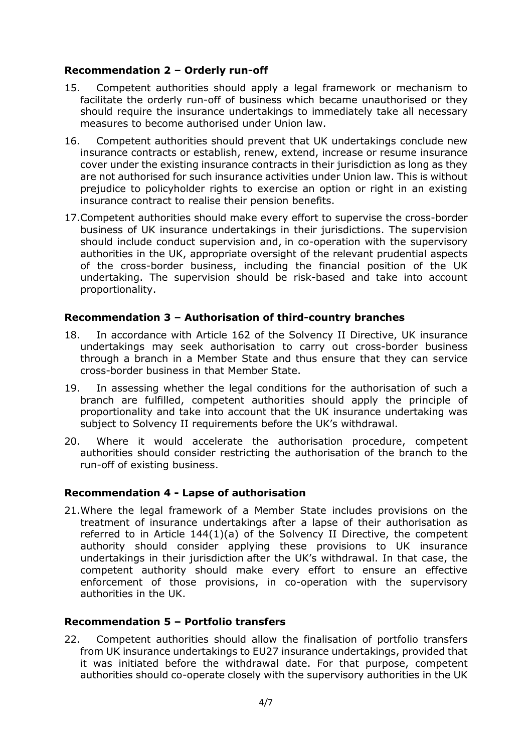## **Recommendation 2 – Orderly run-off**

- 15. Competent authorities should apply a legal framework or mechanism to facilitate the orderly run-off of business which became unauthorised or they should require the insurance undertakings to immediately take all necessary measures to become authorised under Union law.
- 16. Competent authorities should prevent that UK undertakings conclude new insurance contracts or establish, renew, extend, increase or resume insurance cover under the existing insurance contracts in their jurisdiction as long as they are not authorised for such insurance activities under Union law. This is without prejudice to policyholder rights to exercise an option or right in an existing insurance contract to realise their pension benefits.
- 17.Competent authorities should make every effort to supervise the cross-border business of UK insurance undertakings in their jurisdictions. The supervision should include conduct supervision and, in co-operation with the supervisory authorities in the UK, appropriate oversight of the relevant prudential aspects of the cross-border business, including the financial position of the UK undertaking. The supervision should be risk-based and take into account proportionality.

## **Recommendation 3 – Authorisation of third-country branches**

- 18. In accordance with Article 162 of the Solvency II Directive, UK insurance undertakings may seek authorisation to carry out cross-border business through a branch in a Member State and thus ensure that they can service cross-border business in that Member State.
- 19. In assessing whether the legal conditions for the authorisation of such a branch are fulfilled, competent authorities should apply the principle of proportionality and take into account that the UK insurance undertaking was subject to Solvency II requirements before the UK's withdrawal.
- 20. Where it would accelerate the authorisation procedure, competent authorities should consider restricting the authorisation of the branch to the run-off of existing business.

#### **Recommendation 4 - Lapse of authorisation**

21.Where the legal framework of a Member State includes provisions on the treatment of insurance undertakings after a lapse of their authorisation as referred to in Article 144(1)(a) of the Solvency II Directive, the competent authority should consider applying these provisions to UK insurance undertakings in their jurisdiction after the UK's withdrawal. In that case, the competent authority should make every effort to ensure an effective enforcement of those provisions, in co-operation with the supervisory authorities in the UK.

#### **Recommendation 5 – Portfolio transfers**

22. Competent authorities should allow the finalisation of portfolio transfers from UK insurance undertakings to EU27 insurance undertakings, provided that it was initiated before the withdrawal date. For that purpose, competent authorities should co-operate closely with the supervisory authorities in the UK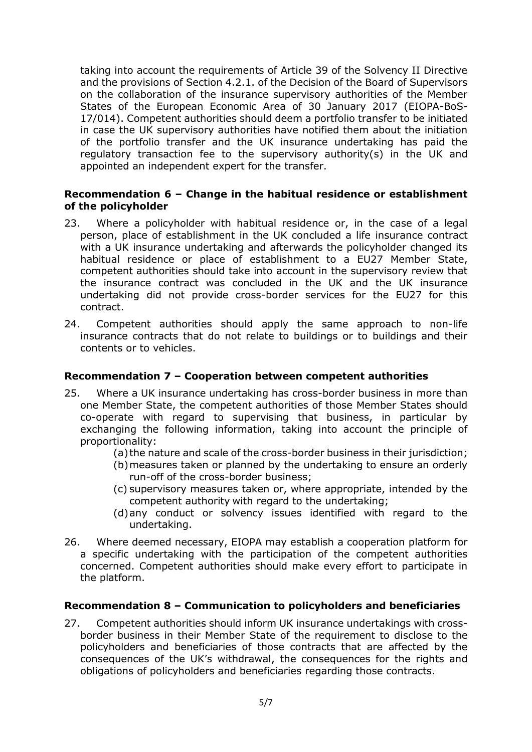taking into account the requirements of Article 39 of the Solvency II Directive and the provisions of Section 4.2.1. of the Decision of the Board of Supervisors on the collaboration of the insurance supervisory authorities of the Member States of the European Economic Area of 30 January 2017 (EIOPA-BoS-17/014). Competent authorities should deem a portfolio transfer to be initiated in case the UK supervisory authorities have notified them about the initiation of the portfolio transfer and the UK insurance undertaking has paid the regulatory transaction fee to the supervisory authority(s) in the UK and appointed an independent expert for the transfer.

## **Recommendation 6 – Change in the habitual residence or establishment of the policyholder**

- 23. Where a policyholder with habitual residence or, in the case of a legal person, place of establishment in the UK concluded a life insurance contract with a UK insurance undertaking and afterwards the policyholder changed its habitual residence or place of establishment to a EU27 Member State, competent authorities should take into account in the supervisory review that the insurance contract was concluded in the UK and the UK insurance undertaking did not provide cross-border services for the EU27 for this contract.
- 24. Competent authorities should apply the same approach to non-life insurance contracts that do not relate to buildings or to buildings and their contents or to vehicles.

## **Recommendation 7 – Cooperation between competent authorities**

- 25. Where a UK insurance undertaking has cross-border business in more than one Member State, the competent authorities of those Member States should co-operate with regard to supervising that business, in particular by exchanging the following information, taking into account the principle of proportionality:
	- (a) the nature and scale of the cross-border business in their jurisdiction;
	- (b)measures taken or planned by the undertaking to ensure an orderly run-off of the cross-border business;
	- (c) supervisory measures taken or, where appropriate, intended by the competent authority with regard to the undertaking;
	- (d)any conduct or solvency issues identified with regard to the undertaking.
- 26. Where deemed necessary, EIOPA may establish a cooperation platform for a specific undertaking with the participation of the competent authorities concerned. Competent authorities should make every effort to participate in the platform.

#### **Recommendation 8 – Communication to policyholders and beneficiaries**

27. Competent authorities should inform UK insurance undertakings with crossborder business in their Member State of the requirement to disclose to the policyholders and beneficiaries of those contracts that are affected by the consequences of the UK's withdrawal, the consequences for the rights and obligations of policyholders and beneficiaries regarding those contracts.